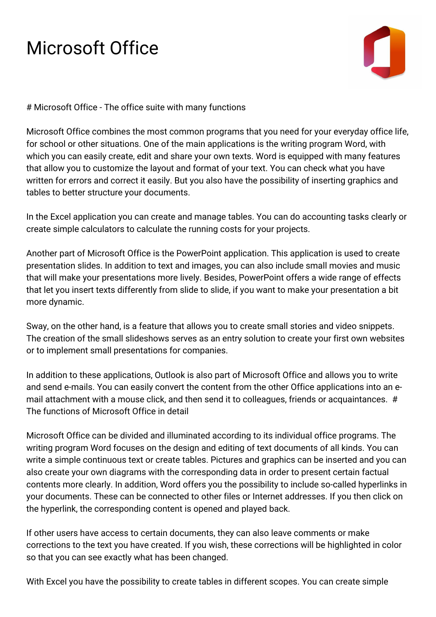## Microsoft Office



# Microsoft Office - The office suite with many functions

Microsoft Office combines the most common programs that you need for your everyday office life, for school or other situations. One of the main applications is the writing program Word, with which you can easily create, edit and share your own texts. Word is equipped with many features that allow you to customize the layout and format of your text. You can check what you have written for errors and correct it easily. But you also have the possibility of inserting graphics and tables to better structure your documents.

In the Excel application you can create and manage tables. You can do accounting tasks clearly or create simple calculators to calculate the running costs for your projects.

Another part of Microsoft Office is the PowerPoint application. This application is used to create presentation slides. In addition to text and images, you can also include small movies and music that will make your presentations more lively. Besides, PowerPoint offers a wide range of effects that let you insert texts differently from slide to slide, if you want to make your presentation a bit more dynamic.

Sway, on the other hand, is a feature that allows you to create small stories and video snippets. The creation of the small slideshows serves as an entry solution to create your first own websites or to implement small presentations for companies.

In addition to these applications, Outlook is also part of Microsoft Office and allows you to write and send e-mails. You can easily convert the content from the other Office applications into an email attachment with a mouse click, and then send it to colleagues, friends or acquaintances. # The functions of Microsoft Office in detail

Microsoft Office can be divided and illuminated according to its individual office programs. The writing program Word focuses on the design and editing of text documents of all kinds. You can write a simple continuous text or create tables. Pictures and graphics can be inserted and you can also create your own diagrams with the corresponding data in order to present certain factual contents more clearly. In addition, Word offers you the possibility to include so-called hyperlinks in your documents. These can be connected to other files or Internet addresses. If you then click on the hyperlink, the corresponding content is opened and played back.

If other users have access to certain documents, they can also leave comments or make corrections to the text you have created. If you wish, these corrections will be highlighted in color so that you can see exactly what has been changed.

With Excel you have the possibility to create tables in different scopes. You can create simple